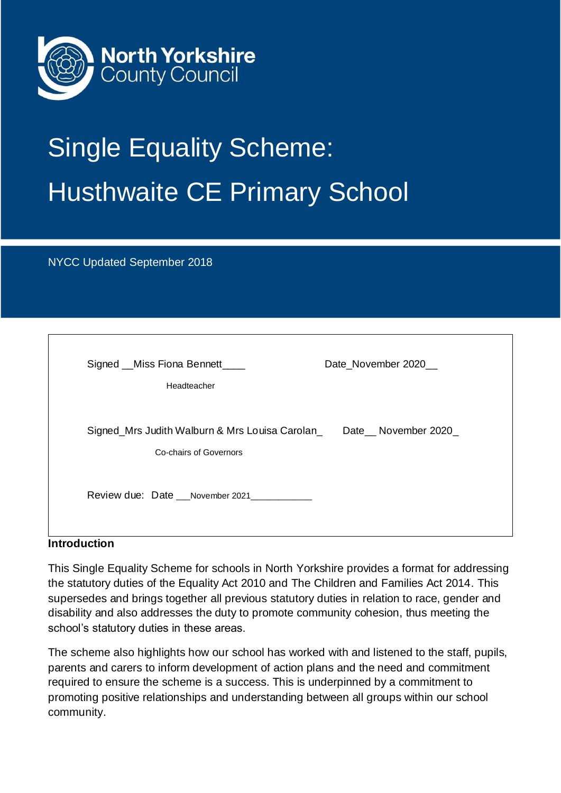

# Single Equality Scheme: Husthwaite CE Primary School

NYCC Updated September 2018

| Signed __ Miss Fiona Bennett_____<br>Date_November 2020__<br>Headteacher                        |  |
|-------------------------------------------------------------------------------------------------|--|
| Signed_Mrs Judith Walburn & Mrs Louisa Carolan_<br>Date November 2020<br>Co-chairs of Governors |  |
| Review due: Date November 2021                                                                  |  |

## **Introduction**

This Single Equality Scheme for schools in North Yorkshire provides a format for addressing the statutory duties of the Equality Act 2010 and The Children and Families Act 2014. This supersedes and brings together all previous statutory duties in relation to race, gender and disability and also addresses the duty to promote community cohesion, thus meeting the school's statutory duties in these areas.

The scheme also highlights how our school has worked with and listened to the staff, pupils, parents and carers to inform development of action plans and the need and commitment required to ensure the scheme is a success. This is underpinned by a commitment to promoting positive relationships and understanding between all groups within our school community.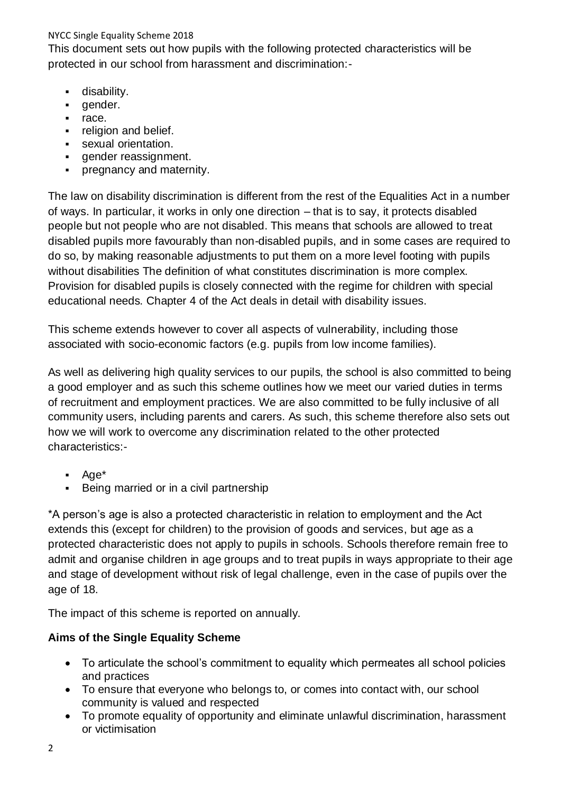This document sets out how pupils with the following protected characteristics will be protected in our school from harassment and discrimination:-

- **·** disability.
- gender.
- race.
- **•** religion and belief.
- **•** sexual orientation.
- **•** gender reassignment.
- pregnancy and maternity.

The law on disability discrimination is different from the rest of the Equalities Act in a number of ways. In particular, it works in only one direction – that is to say, it protects disabled people but not people who are not disabled. This means that schools are allowed to treat disabled pupils more favourably than non-disabled pupils, and in some cases are required to do so, by making reasonable adjustments to put them on a more level footing with pupils without disabilities The definition of what constitutes discrimination is more complex. Provision for disabled pupils is closely connected with the regime for children with special educational needs. Chapter 4 of the Act deals in detail with disability issues.

This scheme extends however to cover all aspects of vulnerability, including those associated with socio-economic factors (e.g. pupils from low income families).

As well as delivering high quality services to our pupils, the school is also committed to being a good employer and as such this scheme outlines how we meet our varied duties in terms of recruitment and employment practices. We are also committed to be fully inclusive of all community users, including parents and carers. As such, this scheme therefore also sets out how we will work to overcome any discrimination related to the other protected characteristics:-

- Age\*
- Being married or in a civil partnership

\*A person's age is also a protected characteristic in relation to employment and the Act extends this (except for children) to the provision of goods and services, but age as a protected characteristic does not apply to pupils in schools. Schools therefore remain free to admit and organise children in age groups and to treat pupils in ways appropriate to their age and stage of development without risk of legal challenge, even in the case of pupils over the age of 18.

The impact of this scheme is reported on annually.

## **Aims of the Single Equality Scheme**

- To articulate the school's commitment to equality which permeates all school policies and practices
- To ensure that everyone who belongs to, or comes into contact with, our school community is valued and respected
- To promote equality of opportunity and eliminate unlawful discrimination, harassment or victimisation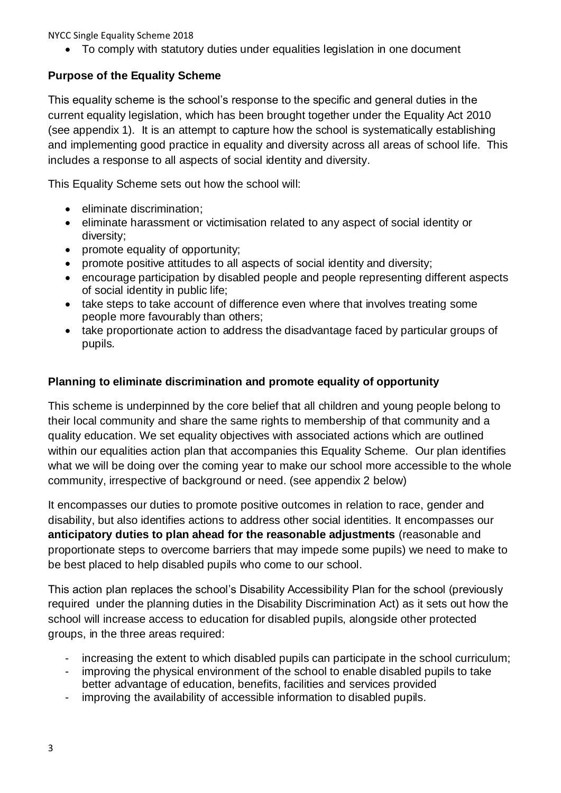• To comply with statutory duties under equalities legislation in one document

## **Purpose of the Equality Scheme**

This equality scheme is the school's response to the specific and general duties in the current equality legislation, which has been brought together under the Equality Act 2010 (see appendix 1). It is an attempt to capture how the school is systematically establishing and implementing good practice in equality and diversity across all areas of school life. This includes a response to all aspects of social identity and diversity.

This Equality Scheme sets out how the school will:

- eliminate discrimination;
- eliminate harassment or victimisation related to any aspect of social identity or diversity;
- promote equality of opportunity;
- promote positive attitudes to all aspects of social identity and diversity;
- encourage participation by disabled people and people representing different aspects of social identity in public life;
- take steps to take account of difference even where that involves treating some people more favourably than others;
- take proportionate action to address the disadvantage faced by particular groups of pupils.

## **Planning to eliminate discrimination and promote equality of opportunity**

This scheme is underpinned by the core belief that all children and young people belong to their local community and share the same rights to membership of that community and a quality education. We set equality objectives with associated actions which are outlined within our equalities action plan that accompanies this Equality Scheme. Our plan identifies what we will be doing over the coming year to make our school more accessible to the whole community, irrespective of background or need. (see appendix 2 below)

It encompasses our duties to promote positive outcomes in relation to race, gender and disability, but also identifies actions to address other social identities. It encompasses our **anticipatory duties to plan ahead for the reasonable adjustments** (reasonable and proportionate steps to overcome barriers that may impede some pupils) we need to make to be best placed to help disabled pupils who come to our school.

This action plan replaces the school's Disability Accessibility Plan for the school (previously required under the planning duties in the Disability Discrimination Act) as it sets out how the school will increase access to education for disabled pupils, alongside other protected groups, in the three areas required:

- increasing the extent to which disabled pupils can participate in the school curriculum;
- improving the physical environment of the school to enable disabled pupils to take better advantage of education, benefits, facilities and services provided
- improving the availability of accessible information to disabled pupils.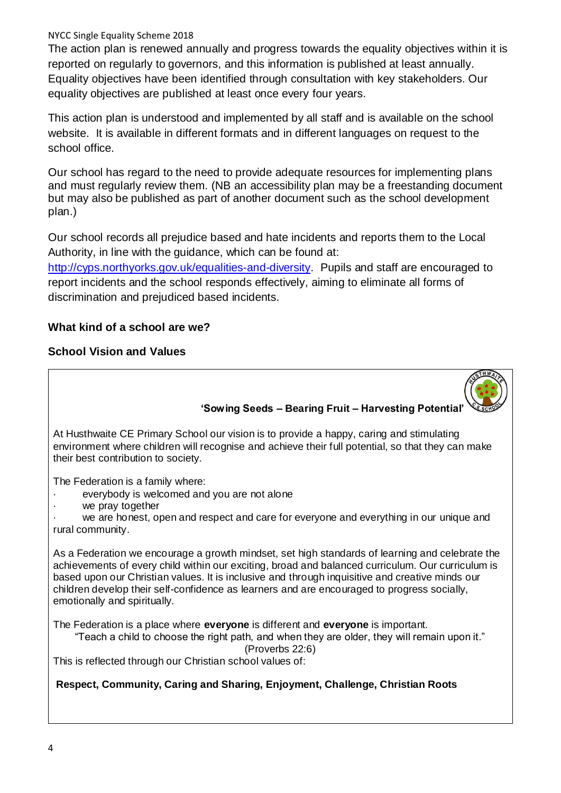The action plan is renewed annually and progress towards the equality objectives within it is reported on regularly to governors, and this information is published at least annually. Equality objectives have been identified through consultation with key stakeholders. Our equality objectives are published at least once every four years.

This action plan is understood and implemented by all staff and is available on the school website. It is available in different formats and in different languages on request to the school office.

Our school has regard to the need to provide adequate resources for implementing plans and must regularly review them. (NB an accessibility plan may be a freestanding document but may also be published as part of another document such as the school development plan.)

Our school records all prejudice based and hate incidents and reports them to the Local Authority, in line with the guidance, which can be found at: [http://cyps.northyorks.gov.uk/equalities-and-diversity.](http://cyps.northyorks.gov.uk/equalities-and-diversity) Pupils and staff are encouraged to

report incidents and the school responds effectively, aiming to eliminate all forms of discrimination and prejudiced based incidents.

## **What kind of a school are we?**

## **School Vision and Values**

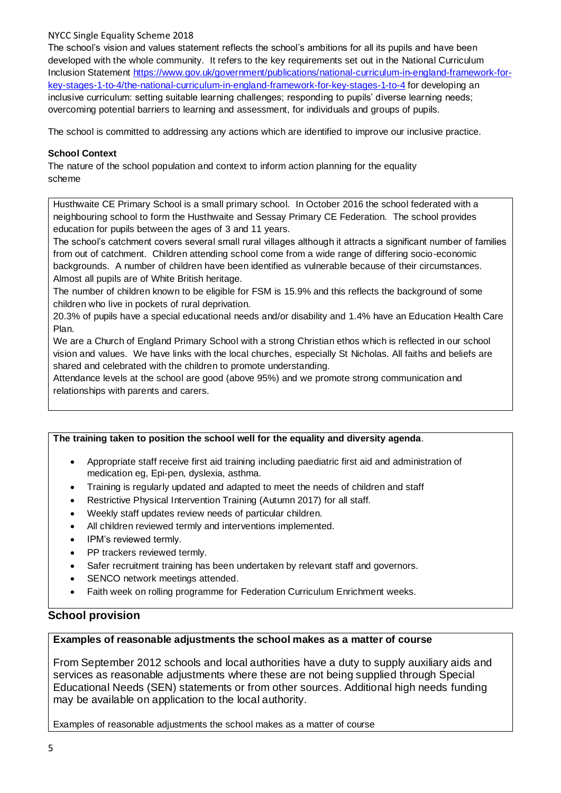The school's vision and values statement reflects the school's ambitions for all its pupils and have been developed with the whole community. It refers to the key requirements set out in the National Curriculum Inclusion Statement [https://www.gov.uk/government/publications/national-curriculum-in-england-framework-for](https://www.gov.uk/government/publications/national-curriculum-in-england-framework-for-key-stages-1-to-4/the-national-curriculum-in-england-framework-for-key-stages-1-to-4)[key-stages-1-to-4/the-national-curriculum-in-england-framework-for-key-stages-1-to-4](https://www.gov.uk/government/publications/national-curriculum-in-england-framework-for-key-stages-1-to-4/the-national-curriculum-in-england-framework-for-key-stages-1-to-4) for developing an inclusive curriculum: setting suitable learning challenges; responding to pupils' diverse learning needs; overcoming potential barriers to learning and assessment, for individuals and groups of pupils.

The school is committed to addressing any actions which are identified to improve our inclusive practice.

#### **School Context**

The nature of the school population and context to inform action planning for the equality scheme

Husthwaite CE Primary School is a small primary school. In October 2016 the school federated with a neighbouring school to form the Husthwaite and Sessay Primary CE Federation. The school provides education for pupils between the ages of 3 and 11 years.

The school's catchment covers several small rural villages although it attracts a significant number of families from out of catchment. Children attending school come from a wide range of differing socio-economic backgrounds. A number of children have been identified as vulnerable because of their circumstances. Almost all pupils are of White British heritage.

The number of children known to be eligible for FSM is 15.9% and this reflects the background of some children who live in pockets of rural deprivation.

20.3% of pupils have a special educational needs and/or disability and 1.4% have an Education Health Care Plan.

We are a Church of England Primary School with a strong Christian ethos which is reflected in our school vision and values. We have links with the local churches, especially St Nicholas. All faiths and beliefs are shared and celebrated with the children to promote understanding.

Attendance levels at the school are good (above 95%) and we promote strong communication and relationships with parents and carers.

#### **The training taken to position the school well for the equality and diversity agenda**.

- Appropriate staff receive first aid training including paediatric first aid and administration of medication eg, Epi-pen, dyslexia, asthma.
- Training is regularly updated and adapted to meet the needs of children and staff
- Restrictive Physical Intervention Training (Autumn 2017) for all staff.
- Weekly staff updates review needs of particular children.
- All children reviewed termly and interventions implemented.
- IPM's reviewed termly.
- PP trackers reviewed termly.
- Safer recruitment training has been undertaken by relevant staff and governors.
- SENCO network meetings attended.
- Faith week on rolling programme for Federation Curriculum Enrichment weeks.

#### **School provision**

#### **Examples of reasonable adjustments the school makes as a matter of course**

From September 2012 schools and local authorities have a duty to supply auxiliary aids and services as reasonable adjustments where these are not being supplied through Special Educational Needs (SEN) statements or from other sources. Additional high needs funding may be available on application to the local authority.

Examples of reasonable adjustments the school makes as a matter of course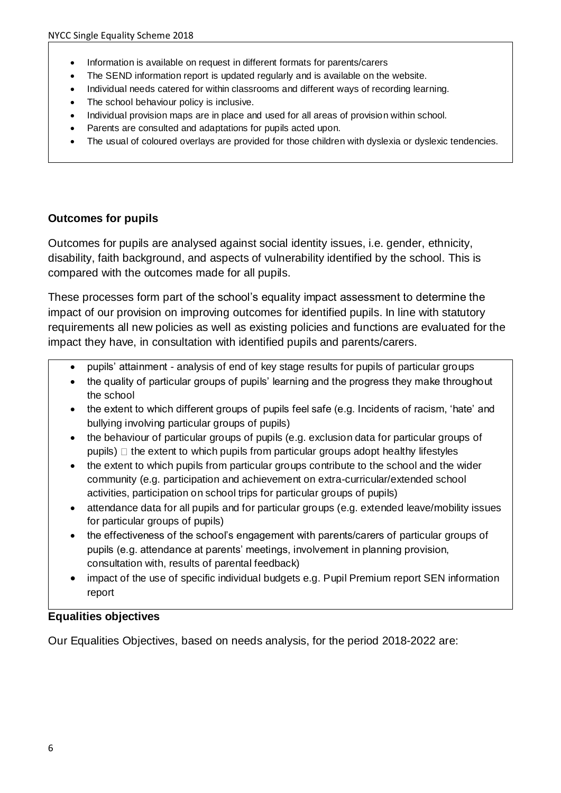- Information is available on request in different formats for parents/carers
- The SEND information report is updated regularly and is available on the website.
- Individual needs catered for within classrooms and different ways of recording learning.
- The school behaviour policy is inclusive.
- Individual provision maps are in place and used for all areas of provision within school.
- Parents are consulted and adaptations for pupils acted upon.
- The usual of coloured overlays are provided for those children with dyslexia or dyslexic tendencies.

#### **Outcomes for pupils**

Outcomes for pupils are analysed against social identity issues, i.e. gender, ethnicity, disability, faith background, and aspects of vulnerability identified by the school. This is compared with the outcomes made for all pupils.

These processes form part of the school's equality impact assessment to determine the impact of our provision on improving outcomes for identified pupils. In line with statutory requirements all new policies as well as existing policies and functions are evaluated for the impact they have, in consultation with identified pupils and parents/carers.

- pupils' attainment analysis of end of key stage results for pupils of particular groups
- the quality of particular groups of pupils' learning and the progress they make throughout the school
- the extent to which different groups of pupils feel safe (e.g. Incidents of racism, 'hate' and bullying involving particular groups of pupils)
- the behaviour of particular groups of pupils (e.g. exclusion data for particular groups of pupils)  $\Box$  the extent to which pupils from particular groups adopt healthy lifestyles
- the extent to which pupils from particular groups contribute to the school and the wider community (e.g. participation and achievement on extra-curricular/extended school activities, participation on school trips for particular groups of pupils)
- attendance data for all pupils and for particular groups (e.g. extended leave/mobility issues for particular groups of pupils)
- the effectiveness of the school's engagement with parents/carers of particular groups of pupils (e.g. attendance at parents' meetings, involvement in planning provision, consultation with, results of parental feedback)
- impact of the use of specific individual budgets e.g. Pupil Premium report SEN information report

## **Equalities objectives**

Our Equalities Objectives, based on needs analysis, for the period 2018-2022 are: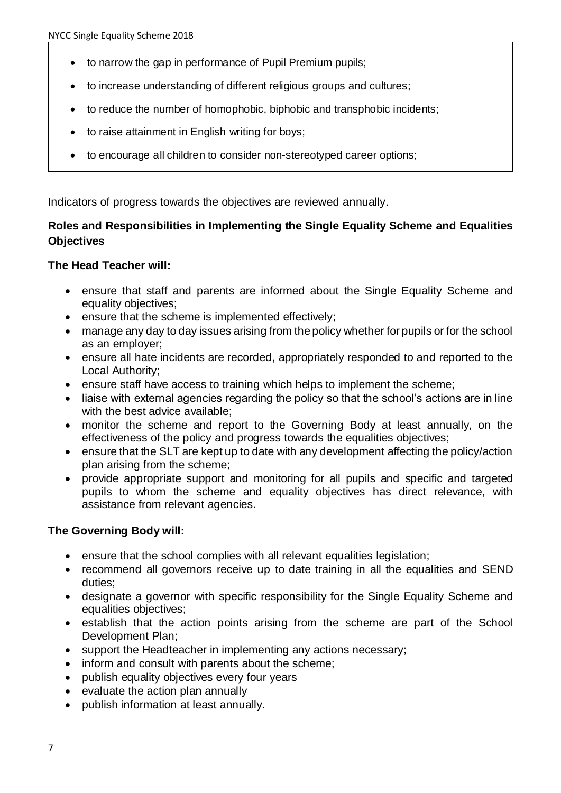- to narrow the gap in performance of Pupil Premium pupils;
- to increase understanding of different religious groups and cultures;
- to reduce the number of homophobic, biphobic and transphobic incidents:
- to raise attainment in English writing for boys;
- to encourage all children to consider non-stereotyped career options;

Indicators of progress towards the objectives are reviewed annually.

## **Roles and Responsibilities in Implementing the Single Equality Scheme and Equalities Objectives**

#### **The Head Teacher will:**

- ensure that staff and parents are informed about the Single Equality Scheme and equality objectives;
- ensure that the scheme is implemented effectively;
- manage any day to day issues arising from the policy whether for pupils or for the school as an employer;
- ensure all hate incidents are recorded, appropriately responded to and reported to the Local Authority;
- ensure staff have access to training which helps to implement the scheme;
- liaise with external agencies regarding the policy so that the school's actions are in line with the best advice available;
- monitor the scheme and report to the Governing Body at least annually, on the effectiveness of the policy and progress towards the equalities objectives;
- ensure that the SLT are kept up to date with any development affecting the policy/action plan arising from the scheme;
- provide appropriate support and monitoring for all pupils and specific and targeted pupils to whom the scheme and equality objectives has direct relevance, with assistance from relevant agencies.

## **The Governing Body will:**

- ensure that the school complies with all relevant equalities legislation;
- recommend all governors receive up to date training in all the equalities and SEND duties;
- designate a governor with specific responsibility for the Single Equality Scheme and equalities objectives;
- establish that the action points arising from the scheme are part of the School Development Plan;
- support the Headteacher in implementing any actions necessary;
- inform and consult with parents about the scheme;
- publish equality objectives every four years
- evaluate the action plan annually
- publish information at least annually.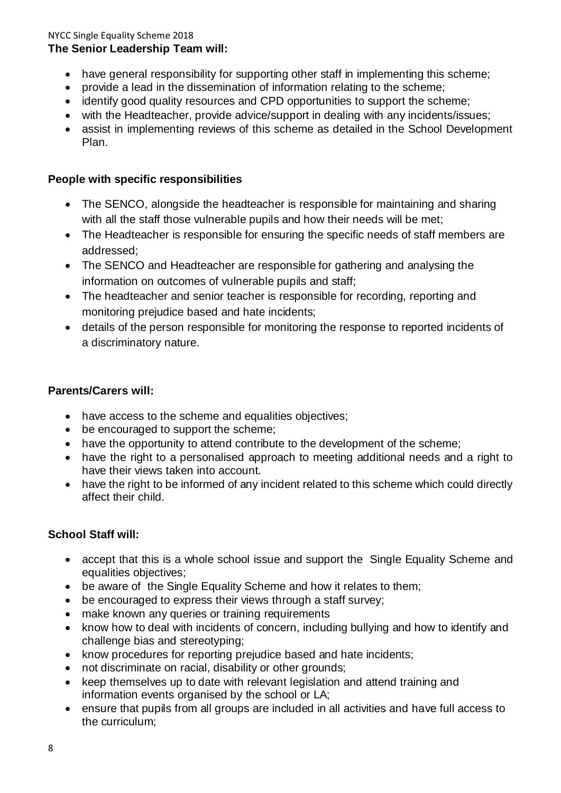#### NYCC Single Equality Scheme 2018 **The Senior Leadership Team will:**

- have general responsibility for supporting other staff in implementing this scheme;
- provide a lead in the dissemination of information relating to the scheme;
- identify good quality resources and CPD opportunities to support the scheme;
- with the Headteacher, provide advice/support in dealing with any incidents/issues;
- assist in implementing reviews of this scheme as detailed in the School Development Plan.

## **People with specific responsibilities**

- The SENCO, alongside the headteacher is responsible for maintaining and sharing with all the staff those vulnerable pupils and how their needs will be met;
- The Headteacher is responsible for ensuring the specific needs of staff members are addressed;
- The SENCO and Headteacher are responsible for gathering and analysing the information on outcomes of vulnerable pupils and staff;
- The headteacher and senior teacher is responsible for recording, reporting and monitoring prejudice based and hate incidents;
- details of the person responsible for monitoring the response to reported incidents of a discriminatory nature.

## **Parents/Carers will:**

- have access to the scheme and equalities objectives;
- be encouraged to support the scheme;
- have the opportunity to attend contribute to the development of the scheme;
- have the right to a personalised approach to meeting additional needs and a right to have their views taken into account.
- have the right to be informed of any incident related to this scheme which could directly affect their child.

## **School Staff will:**

- accept that this is a whole school issue and support the Single Equality Scheme and equalities objectives;
- be aware of the Single Equality Scheme and how it relates to them;
- be encouraged to express their views through a staff survey;
- make known any queries or training requirements
- know how to deal with incidents of concern, including bullying and how to identify and challenge bias and stereotyping;
- know procedures for reporting prejudice based and hate incidents;
- not discriminate on racial, disability or other grounds;
- keep themselves up to date with relevant legislation and attend training and information events organised by the school or LA;
- ensure that pupils from all groups are included in all activities and have full access to the curriculum;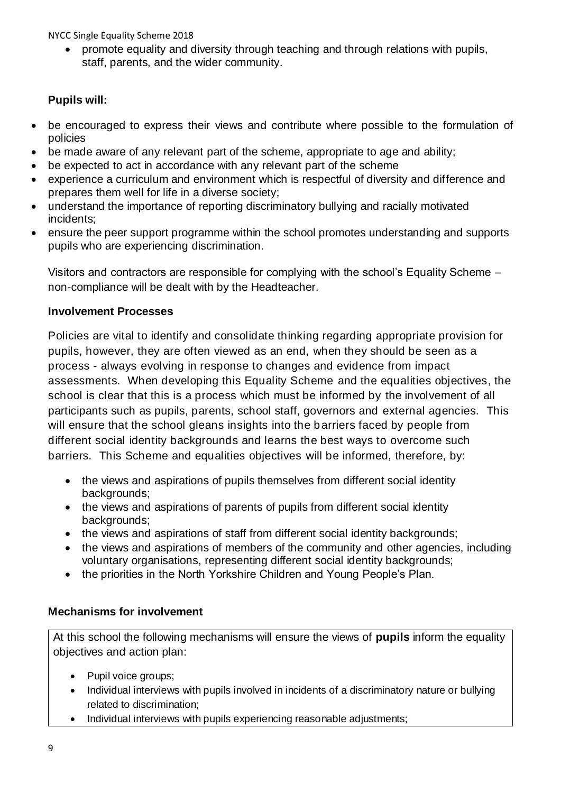• promote equality and diversity through teaching and through relations with pupils, staff, parents, and the wider community.

## **Pupils will:**

- be encouraged to express their views and contribute where possible to the formulation of policies
- be made aware of any relevant part of the scheme, appropriate to age and ability;
- be expected to act in accordance with any relevant part of the scheme
- experience a curriculum and environment which is respectful of diversity and difference and prepares them well for life in a diverse society;
- understand the importance of reporting discriminatory bullying and racially motivated incidents;
- ensure the peer support programme within the school promotes understanding and supports pupils who are experiencing discrimination.

Visitors and contractors are responsible for complying with the school's Equality Scheme – non-compliance will be dealt with by the Headteacher.

## **Involvement Processes**

Policies are vital to identify and consolidate thinking regarding appropriate provision for pupils, however, they are often viewed as an end, when they should be seen as a process - always evolving in response to changes and evidence from impact assessments. When developing this Equality Scheme and the equalities objectives, the school is clear that this is a process which must be informed by the involvement of all participants such as pupils, parents, school staff, governors and external agencies. This will ensure that the school gleans insights into the barriers faced by people from different social identity backgrounds and learns the best ways to overcome such barriers. This Scheme and equalities objectives will be informed, therefore, by:

- the views and aspirations of pupils themselves from different social identity backgrounds;
- the views and aspirations of parents of pupils from different social identity backgrounds;
- the views and aspirations of staff from different social identity backgrounds:
- the views and aspirations of members of the community and other agencies, including voluntary organisations, representing different social identity backgrounds;
- the priorities in the North Yorkshire Children and Young People's Plan.

## **Mechanisms for involvement**

At this school the following mechanisms will ensure the views of **pupils** inform the equality objectives and action plan:

- Pupil voice groups;
- Individual interviews with pupils involved in incidents of a discriminatory nature or bullying related to discrimination;
- Individual interviews with pupils experiencing reasonable adjustments;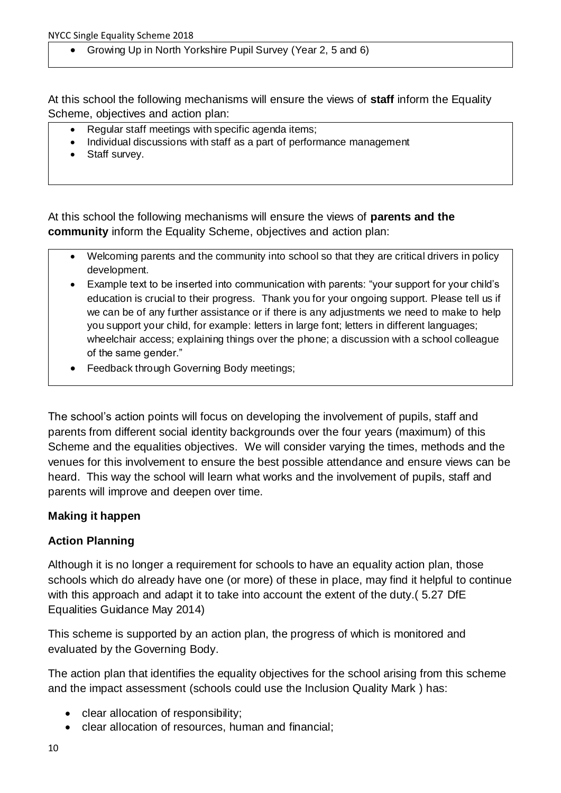• Growing Up in North Yorkshire Pupil Survey (Year 2, 5 and 6)

At this school the following mechanisms will ensure the views of **staff** inform the Equality Scheme, objectives and action plan:

- Regular staff meetings with specific agenda items;
- Individual discussions with staff as a part of performance management
- Staff survey.

At this school the following mechanisms will ensure the views of **parents and the community** inform the Equality Scheme, objectives and action plan:

- Welcoming parents and the community into school so that they are critical drivers in policy development.
- Example text to be inserted into communication with parents: "your support for your child's education is crucial to their progress. Thank you for your ongoing support. Please tell us if we can be of any further assistance or if there is any adjustments we need to make to help you support your child, for example: letters in large font; letters in different languages; wheelchair access; explaining things over the phone; a discussion with a school colleague of the same gender."
- Feedback through Governing Body meetings;

The school's action points will focus on developing the involvement of pupils, staff and parents from different social identity backgrounds over the four years (maximum) of this Scheme and the equalities objectives. We will consider varying the times, methods and the venues for this involvement to ensure the best possible attendance and ensure views can be heard. This way the school will learn what works and the involvement of pupils, staff and parents will improve and deepen over time.

## **Making it happen**

## **Action Planning**

Although it is no longer a requirement for schools to have an equality action plan, those schools which do already have one (or more) of these in place, may find it helpful to continue with this approach and adapt it to take into account the extent of the duty. (5.27 DfE Equalities Guidance May 2014)

This scheme is supported by an action plan, the progress of which is monitored and evaluated by the Governing Body.

The action plan that identifies the equality objectives for the school arising from this scheme and the impact assessment (schools could use the Inclusion Quality Mark ) has:

- clear allocation of responsibility;
- clear allocation of resources, human and financial;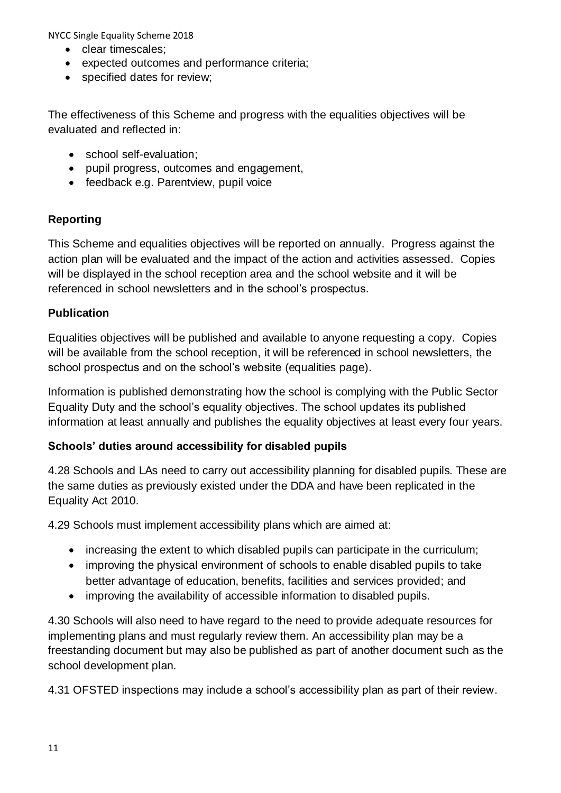- **clear timescales**:
- expected outcomes and performance criteria;
- specified dates for review;

The effectiveness of this Scheme and progress with the equalities objectives will be evaluated and reflected in:

- school self-evaluation;
- pupil progress, outcomes and engagement,
- feedback e.g. Parentview, pupil voice

## **Reporting**

This Scheme and equalities objectives will be reported on annually. Progress against the action plan will be evaluated and the impact of the action and activities assessed. Copies will be displayed in the school reception area and the school website and it will be referenced in school newsletters and in the school's prospectus.

## **Publication**

Equalities objectives will be published and available to anyone requesting a copy. Copies will be available from the school reception, it will be referenced in school newsletters, the school prospectus and on the school's website (equalities page).

Information is published demonstrating how the school is complying with the Public Sector Equality Duty and the school's equality objectives. The school updates its published information at least annually and publishes the equality objectives at least every four years.

## **Schools' duties around accessibility for disabled pupils**

4.28 Schools and LAs need to carry out accessibility planning for disabled pupils. These are the same duties as previously existed under the DDA and have been replicated in the Equality Act 2010.

4.29 Schools must implement accessibility plans which are aimed at:

- increasing the extent to which disabled pupils can participate in the curriculum;
- improving the physical environment of schools to enable disabled pupils to take better advantage of education, benefits, facilities and services provided; and
- improving the availability of accessible information to disabled pupils.

4.30 Schools will also need to have regard to the need to provide adequate resources for implementing plans and must regularly review them. An accessibility plan may be a freestanding document but may also be published as part of another document such as the school development plan.

4.31 OFSTED inspections may include a school's accessibility plan as part of their review.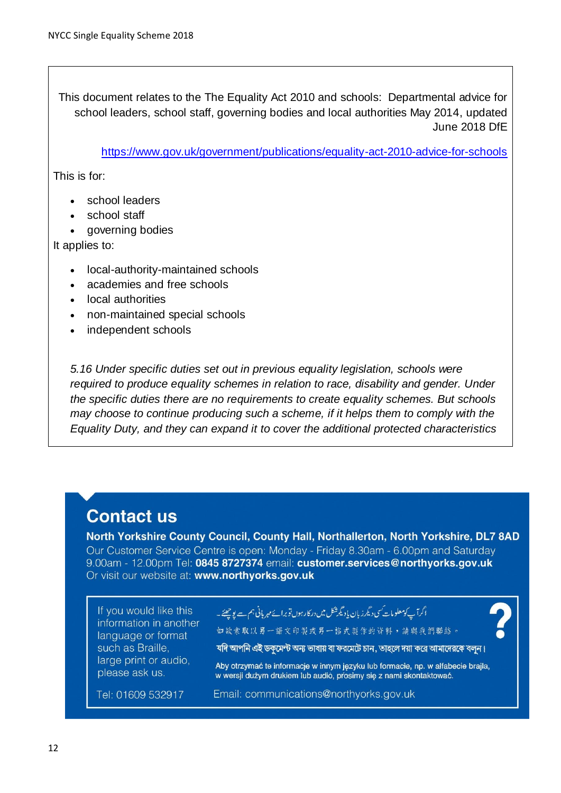This document relates to the The Equality Act 2010 and schools: Departmental advice for school leaders, school staff, governing bodies and local authorities May 2014, updated June 2018 DfE

<https://www.gov.uk/government/publications/equality-act-2010-advice-for-schools>

This is for:

- school leaders
- school staff
- governing bodies

It applies to:

- local-authority-maintained schools
- academies and free schools
- local authorities
- non-maintained special schools
- independent schools

*5.16 Under specific duties set out in previous equality legislation, schools were*  required to produce equality schemes in relation to race, disability and gender. Under *the specific duties there are no requirements to create equality schemes. But schools may choose to continue producing such a scheme, if it helps them to comply with the Equality Duty, and they can expand it to cover the additional protected characteristics*

## **Contact us**

North Yorkshire County Council, County Hall, Northallerton, North Yorkshire, DL7 8AD Our Customer Service Centre is open: Monday - Friday 8.30am - 6.00pm and Saturday 9.00am - 12.00pm Tel: 0845 8727374 email: customer.services@northyorks.gov.uk Or visit our website at: www.northyorks.gov.uk

If you would like this information in another language or format such as Braille. large print or audio, please ask us.

أگر آپ کومعلومات <sup>س</sup>ی دیگر زبان یا دیگرشکل میں در کارہوں تو برائے مہر بانی ہم ہے یو چھئے۔

如缺索取以另一語文印製或另一格式製作的資料,請與我們聯絡。



যদি আপনি এই ডকমেন্ট অন্য ভাষায় বা ফরমেটে চান, তাহলে দয়া করে আমাদেরকে বলন।

Aby otrzymać te informacje w innym jezyku lub formacie, np. w alfabecie brajla, w wersji dużym drukiem lub audió, prosimy się z nami skontaktować.

Tel: 01609 532917

Email: communications@northyorks.gov.uk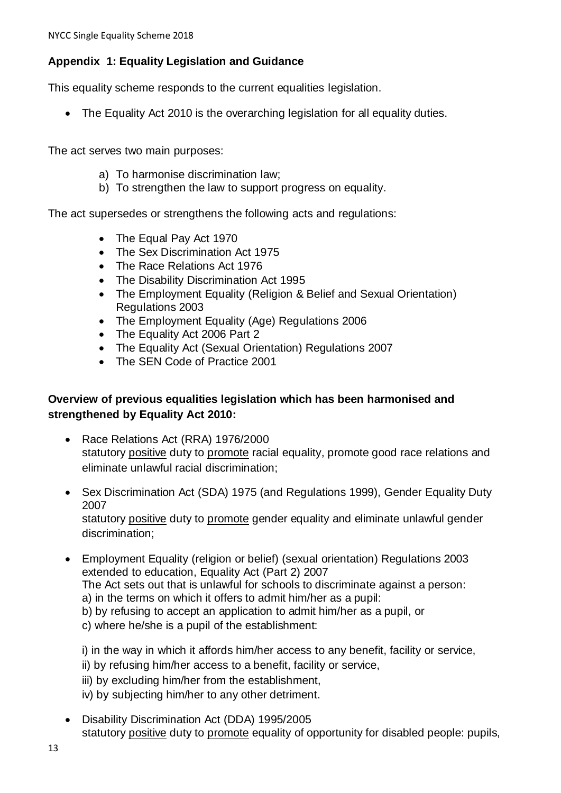## **Appendix 1: Equality Legislation and Guidance**

This equality scheme responds to the current equalities legislation.

• The Equality Act 2010 is the overarching legislation for all equality duties.

The act serves two main purposes:

- a) To harmonise discrimination law;
- b) To strengthen the law to support progress on equality.

The act supersedes or strengthens the following acts and regulations:

- The Equal Pay Act 1970
- The Sex Discrimination Act 1975
- The Race Relations Act 1976
- The Disability Discrimination Act 1995
- The Employment Equality (Religion & Belief and Sexual Orientation) Regulations 2003
- The Employment Equality (Age) Regulations 2006
- The Equality Act 2006 Part 2
- The Equality Act (Sexual Orientation) Regulations 2007
- The SEN Code of Practice 2001

## **Overview of previous equalities legislation which has been harmonised and strengthened by Equality Act 2010:**

- Race Relations Act (RRA) 1976/2000 statutory positive duty to promote racial equality, promote good race relations and eliminate unlawful racial discrimination;
- Sex Discrimination Act (SDA) 1975 (and Regulations 1999), Gender Equality Duty 2007 statutory positive duty to promote gender equality and eliminate unlawful gender discrimination;
- Employment Equality (religion or belief) (sexual orientation) Regulations 2003 extended to education, Equality Act (Part 2) 2007 The Act sets out that is unlawful for schools to discriminate against a person: a) in the terms on which it offers to admit him/her as a pupil: b) by refusing to accept an application to admit him/her as a pupil, or c) where he/she is a pupil of the establishment:

i) in the way in which it affords him/her access to any benefit, facility or service, ii) by refusing him/her access to a benefit, facility or service, iii) by excluding him/her from the establishment, iv) by subjecting him/her to any other detriment.

• Disability Discrimination Act (DDA) 1995/2005 statutory positive duty to promote equality of opportunity for disabled people: pupils,